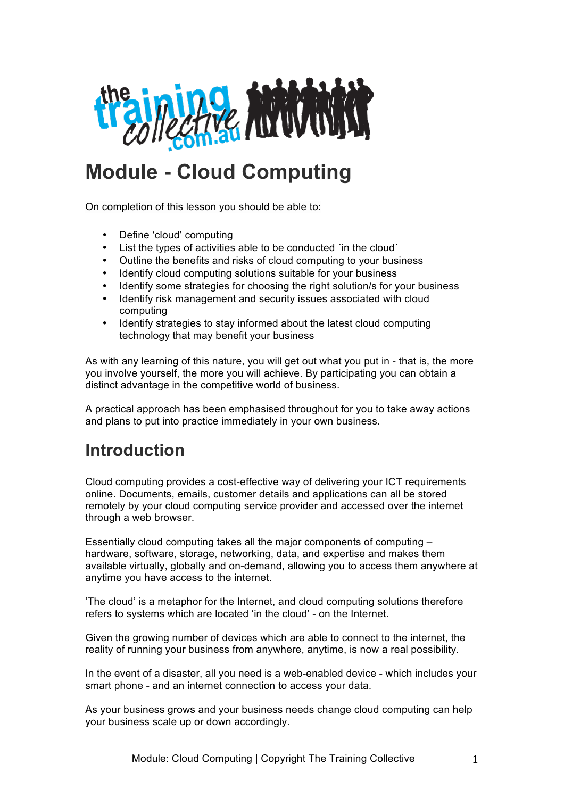

# **Module - Cloud Computing**

On completion of this lesson you should be able to:

- Define 'cloud' computing
- List the types of activities able to be conducted ´in the cloud´
- 
- Outline the benefits and risks of cloud computing to your business<br>• Identify cloud computing solutions suitable for your business Identify cloud computing solutions suitable for your business
- Identify some strategies for choosing the right solution/s for your business
- Identify risk management and security issues associated with cloud computing
- Identify strategies to stay informed about the latest cloud computing technology that may benefit your business

As with any learning of this nature, you will get out what you put in - that is, the more you involve yourself, the more you will achieve. By participating you can obtain a distinct advantage in the competitive world of business.

A practical approach has been emphasised throughout for you to take away actions and plans to put into practice immediately in your own business.

# **Introduction**

Cloud computing provides a cost-effective way of delivering your ICT requirements online. Documents, emails, customer details and applications can all be stored remotely by your cloud computing service provider and accessed over the internet through a web browser.

Essentially cloud computing takes all the major components of computing – hardware, software, storage, networking, data, and expertise and makes them available virtually, globally and on-demand, allowing you to access them anywhere at anytime you have access to the internet.

'The cloud' is a metaphor for the Internet, and cloud computing solutions therefore refers to systems which are located 'in the cloud' - on the Internet.

Given the growing number of devices which are able to connect to the internet, the reality of running your business from anywhere, anytime, is now a real possibility.

In the event of a disaster, all you need is a web-enabled device - which includes your smart phone - and an internet connection to access your data.

As your business grows and your business needs change cloud computing can help your business scale up or down accordingly.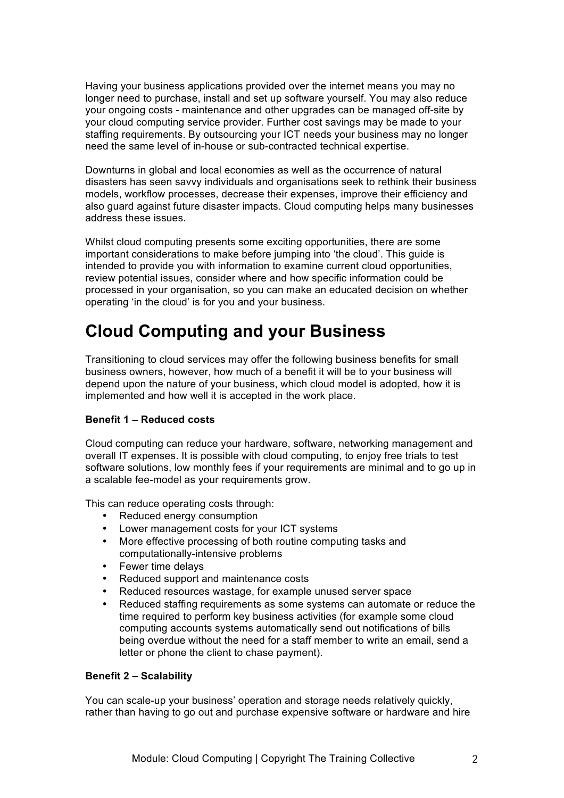Having your business applications provided over the internet means you may no longer need to purchase, install and set up software yourself. You may also reduce your ongoing costs - maintenance and other upgrades can be managed off-site by your cloud computing service provider. Further cost savings may be made to your staffing requirements. By outsourcing your ICT needs your business may no longer need the same level of in-house or sub-contracted technical expertise.

Downturns in global and local economies as well as the occurrence of natural disasters has seen savvy individuals and organisations seek to rethink their business models, workflow processes, decrease their expenses, improve their efficiency and also guard against future disaster impacts. Cloud computing helps many businesses address these issues.

Whilst cloud computing presents some exciting opportunities, there are some important considerations to make before jumping into 'the cloud'. This guide is intended to provide you with information to examine current cloud opportunities, review potential issues, consider where and how specific information could be processed in your organisation, so you can make an educated decision on whether operating 'in the cloud' is for you and your business.

# **Cloud Computing and your Business**

Transitioning to cloud services may offer the following business benefits for small business owners, however, how much of a benefit it will be to your business will depend upon the nature of your business, which cloud model is adopted, how it is implemented and how well it is accepted in the work place.

### **Benefit 1 – Reduced costs**

Cloud computing can reduce your hardware, software, networking management and overall IT expenses. It is possible with cloud computing, to enjoy free trials to test software solutions, low monthly fees if your requirements are minimal and to go up in a scalable fee-model as your requirements grow.

This can reduce operating costs through:

- Reduced energy consumption
- Lower management costs for your ICT systems
- More effective processing of both routine computing tasks and computationally-intensive problems
- Fewer time delays
- Reduced support and maintenance costs<br>• Reduced resources wastage, for example
- Reduced resources wastage, for example unused server space
- Reduced staffing requirements as some systems can automate or reduce the time required to perform key business activities (for example some cloud computing accounts systems automatically send out notifications of bills being overdue without the need for a staff member to write an email, send a letter or phone the client to chase payment).

### **Benefit 2 – Scalability**

You can scale-up your business' operation and storage needs relatively quickly, rather than having to go out and purchase expensive software or hardware and hire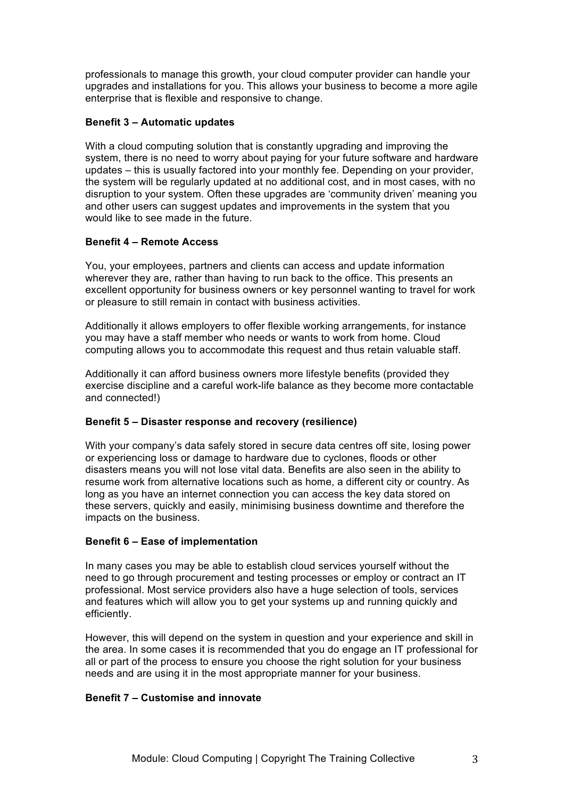professionals to manage this growth, your cloud computer provider can handle your upgrades and installations for you. This allows your business to become a more agile enterprise that is flexible and responsive to change.

### **Benefit 3 – Automatic updates**

With a cloud computing solution that is constantly upgrading and improving the system, there is no need to worry about paying for your future software and hardware updates – this is usually factored into your monthly fee. Depending on your provider, the system will be regularly updated at no additional cost, and in most cases, with no disruption to your system. Often these upgrades are 'community driven' meaning you and other users can suggest updates and improvements in the system that you would like to see made in the future.

## **Benefit 4 – Remote Access**

You, your employees, partners and clients can access and update information wherever they are, rather than having to run back to the office. This presents an excellent opportunity for business owners or key personnel wanting to travel for work or pleasure to still remain in contact with business activities.

Additionally it allows employers to offer flexible working arrangements, for instance you may have a staff member who needs or wants to work from home. Cloud computing allows you to accommodate this request and thus retain valuable staff.

Additionally it can afford business owners more lifestyle benefits (provided they exercise discipline and a careful work-life balance as they become more contactable and connected!)

## **Benefit 5 – Disaster response and recovery (resilience)**

With your company's data safely stored in secure data centres off site, losing power or experiencing loss or damage to hardware due to cyclones, floods or other disasters means you will not lose vital data. Benefits are also seen in the ability to resume work from alternative locations such as home, a different city or country. As long as you have an internet connection you can access the key data stored on these servers, quickly and easily, minimising business downtime and therefore the impacts on the business.

## **Benefit 6 – Ease of implementation**

In many cases you may be able to establish cloud services yourself without the need to go through procurement and testing processes or employ or contract an IT professional. Most service providers also have a huge selection of tools, services and features which will allow you to get your systems up and running quickly and efficiently.

However, this will depend on the system in question and your experience and skill in the area. In some cases it is recommended that you do engage an IT professional for all or part of the process to ensure you choose the right solution for your business needs and are using it in the most appropriate manner for your business.

### **Benefit 7 – Customise and innovate**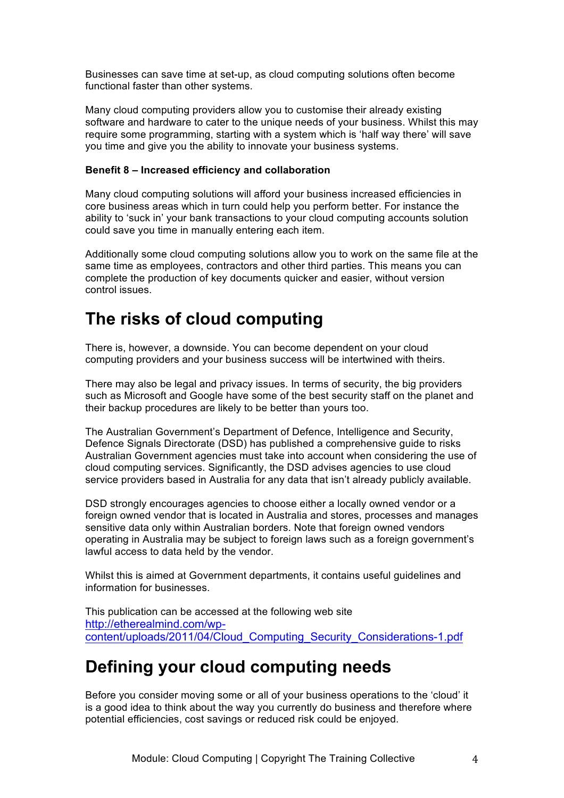Businesses can save time at set-up, as cloud computing solutions often become functional faster than other systems.

Many cloud computing providers allow you to customise their already existing software and hardware to cater to the unique needs of your business. Whilst this may require some programming, starting with a system which is 'half way there' will save you time and give you the ability to innovate your business systems.

#### **Benefit 8 – Increased efficiency and collaboration**

Many cloud computing solutions will afford your business increased efficiencies in core business areas which in turn could help you perform better. For instance the ability to 'suck in' your bank transactions to your cloud computing accounts solution could save you time in manually entering each item.

Additionally some cloud computing solutions allow you to work on the same file at the same time as employees, contractors and other third parties. This means you can complete the production of key documents quicker and easier, without version control issues.

# **The risks of cloud computing**

There is, however, a downside. You can become dependent on your cloud computing providers and your business success will be intertwined with theirs.

There may also be legal and privacy issues. In terms of security, the big providers such as Microsoft and Google have some of the best security staff on the planet and their backup procedures are likely to be better than yours too.

The Australian Government's Department of Defence, Intelligence and Security, Defence Signals Directorate (DSD) has published a comprehensive guide to risks Australian Government agencies must take into account when considering the use of cloud computing services. Significantly, the DSD advises agencies to use cloud service providers based in Australia for any data that isn't already publicly available.

DSD strongly encourages agencies to choose either a locally owned vendor or a foreign owned vendor that is located in Australia and stores, processes and manages sensitive data only within Australian borders. Note that foreign owned vendors operating in Australia may be subject to foreign laws such as a foreign government's lawful access to data held by the vendor.

Whilst this is aimed at Government departments, it contains useful guidelines and information for businesses.

This publication can be accessed at the following web site http://etherealmind.com/wpcontent/uploads/2011/04/Cloud\_Computing\_Security\_Considerations-1.pdf

# **Defining your cloud computing needs**

Before you consider moving some or all of your business operations to the 'cloud' it is a good idea to think about the way you currently do business and therefore where potential efficiencies, cost savings or reduced risk could be enjoyed.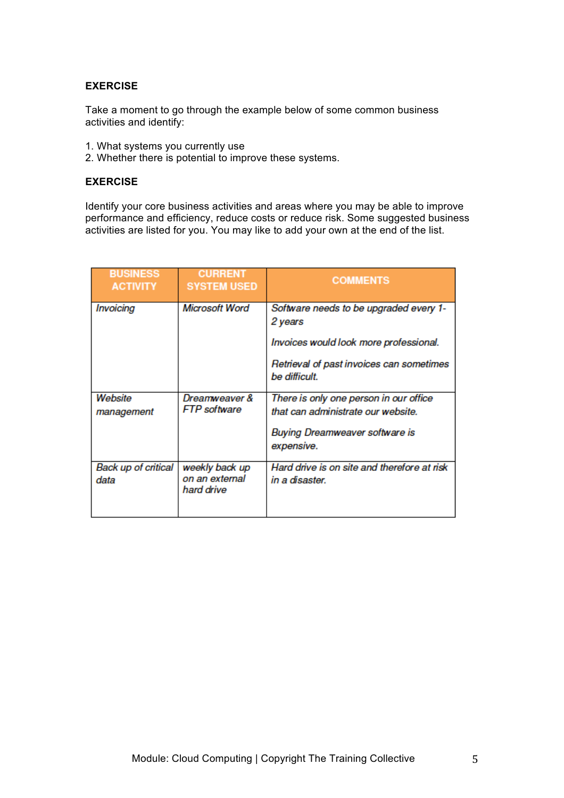### **EXERCISE**

Take a moment to go through the example below of some common business activities and identify:

- 1. What systems you currently use
- 2. Whether there is potential to improve these systems.

### **EXERCISE**

Identify your core business activities and areas where you may be able to improve performance and efficiency, reduce costs or reduce risk. Some suggested business activities are listed for you. You may like to add your own at the end of the list.

| <b>BUSINESS</b><br><b>ACTIVITY</b> | <b>CURRENT</b><br><b>SYSTEM USED</b>           | <b>COMMENTS</b>                                                                                                                                          |
|------------------------------------|------------------------------------------------|----------------------------------------------------------------------------------------------------------------------------------------------------------|
| Invoicing                          | <b>Microsoft Word</b>                          | Software needs to be upgraded every 1-<br>2 years<br>Invoices would look more professional.<br>Retrieval of past invoices can sometimes<br>be difficult. |
| Website<br>management              | Dreamweaver &<br>FTP software                  | There is only one person in our office<br>that can administrate our website.<br>Buying Dreamweaver software is<br>expensive.                             |
| Back up of critical<br>data        | weekly back up<br>on an external<br>hard drive | Hard drive is on site and therefore at risk<br>in a disaster.                                                                                            |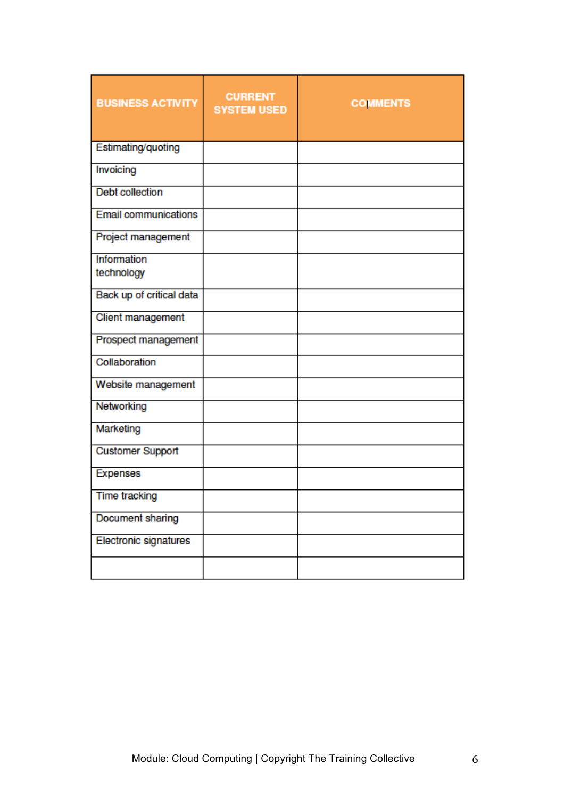| <b>BUSINESS ACTIVITY</b>     | <b>CURRENT</b><br><b>SYSTEM USED</b> | <b>COMMENTS</b> |
|------------------------------|--------------------------------------|-----------------|
| Estimating/quoting           |                                      |                 |
| Invoicing                    |                                      |                 |
| <b>Debt collection</b>       |                                      |                 |
| <b>Email communications</b>  |                                      |                 |
| Project management           |                                      |                 |
| <b>Information</b>           |                                      |                 |
| technology                   |                                      |                 |
| Back up of critical data     |                                      |                 |
| <b>Client management</b>     |                                      |                 |
| Prospect management          |                                      |                 |
| Collaboration                |                                      |                 |
| Website management           |                                      |                 |
| Networking                   |                                      |                 |
| Marketing                    |                                      |                 |
| <b>Customer Support</b>      |                                      |                 |
| <b>Expenses</b>              |                                      |                 |
| <b>Time tracking</b>         |                                      |                 |
| <b>Document sharing</b>      |                                      |                 |
| <b>Electronic signatures</b> |                                      |                 |
|                              |                                      |                 |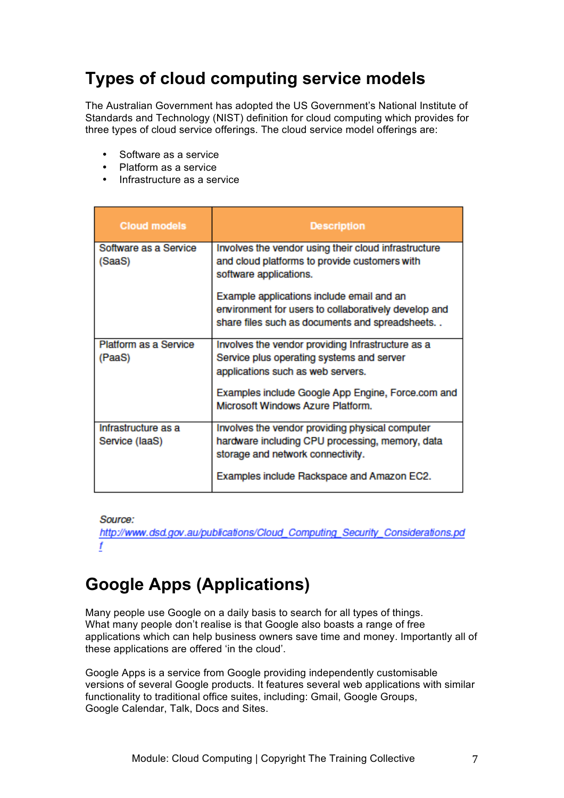# **Types of cloud computing service models**

The Australian Government has adopted the US Government's National Institute of Standards and Technology (NIST) definition for cloud computing which provides for three types of cloud service offerings. The cloud service model offerings are:

- Software as a service
- Platform as a service
- Infrastructure as a service

| <b>Cloud models</b>                    | <b>Description</b>                                                                                                                                                                                                            |
|----------------------------------------|-------------------------------------------------------------------------------------------------------------------------------------------------------------------------------------------------------------------------------|
| Software as a Service<br>(SaaS)        | Involves the vendor using their cloud infrastructure<br>and cloud platforms to provide customers with<br>software applications.                                                                                               |
|                                        | Example applications include email and an<br>environment for users to collaboratively develop and<br>share files such as documents and spreadsheets                                                                           |
| <b>Platform as a Service</b><br>(PaaS) | Involves the vendor providing Infrastructure as a<br>Service plus operating systems and server<br>applications such as web servers.<br>Examples include Google App Engine, Force.com and<br>Microsoft Windows Azure Platform. |
| Infrastructure as a<br>Service (laaS)  | Involves the vendor providing physical computer<br>hardware including CPU processing, memory, data<br>storage and network connectivity.<br>Examples include Rackspace and Amazon EC2.                                         |

Source:

http://www.dsd.gov.au/publications/Cloud\_Computing\_Security\_Considerations.pd f

# **Google Apps (Applications)**

Many people use Google on a daily basis to search for all types of things. What many people don't realise is that Google also boasts a range of free applications which can help business owners save time and money. Importantly all of these applications are offered 'in the cloud'.

Google Apps is a service from Google providing independently customisable versions of several Google products. It features several web applications with similar functionality to traditional office suites, including: Gmail, Google Groups, Google Calendar, Talk, Docs and Sites.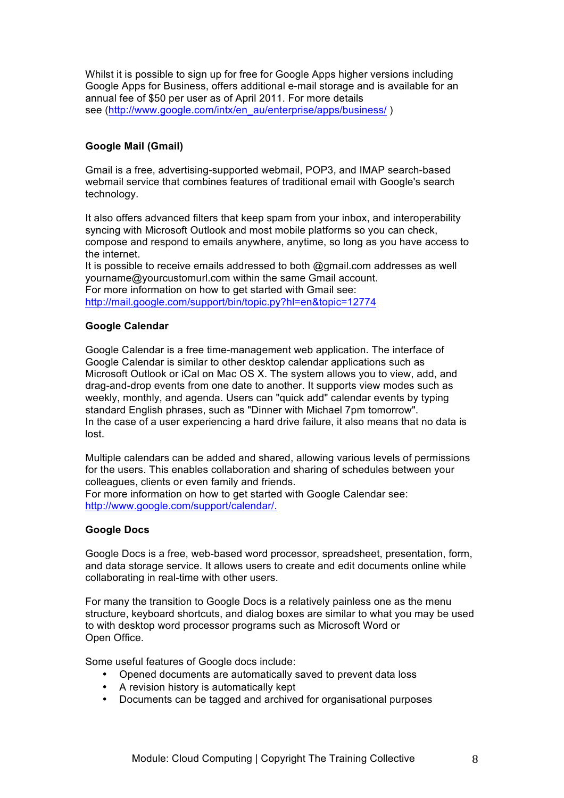Whilst it is possible to sign up for free for Google Apps higher versions including Google Apps for Business, offers additional e-mail storage and is available for an annual fee of \$50 per user as of April 2011. For more details see (http://www.google.com/intx/en\_au/enterprise/apps/business/)

### **Google Mail (Gmail)**

Gmail is a free, advertising-supported webmail, POP3, and IMAP search-based webmail service that combines features of traditional email with Google's search technology.

It also offers advanced filters that keep spam from your inbox, and interoperability syncing with Microsoft Outlook and most mobile platforms so you can check, compose and respond to emails anywhere, anytime, so long as you have access to the internet.

It is possible to receive emails addressed to both @gmail.com addresses as well yourname@yourcustomurl.com within the same Gmail account. For more information on how to get started with Gmail see: http://mail.google.com/support/bin/topic.py?hl=en&topic=12774

### **Google Calendar**

Google Calendar is a free time-management web application. The interface of Google Calendar is similar to other desktop calendar applications such as Microsoft Outlook or iCal on Mac OS X. The system allows you to view, add, and drag-and-drop events from one date to another. It supports view modes such as weekly, monthly, and agenda. Users can "quick add" calendar events by typing standard English phrases, such as "Dinner with Michael 7pm tomorrow". In the case of a user experiencing a hard drive failure, it also means that no data is lost.

Multiple calendars can be added and shared, allowing various levels of permissions for the users. This enables collaboration and sharing of schedules between your colleagues, clients or even family and friends. For more information on how to get started with Google Calendar see: http://www.google.com/support/calendar/.

### **Google Docs**

Google Docs is a free, web-based word processor, spreadsheet, presentation, form, and data storage service. It allows users to create and edit documents online while collaborating in real-time with other users.

For many the transition to Google Docs is a relatively painless one as the menu structure, keyboard shortcuts, and dialog boxes are similar to what you may be used to with desktop word processor programs such as Microsoft Word or Open Office.

Some useful features of Google docs include:

- Opened documents are automatically saved to prevent data loss
- A revision history is automatically kept
- Documents can be tagged and archived for organisational purposes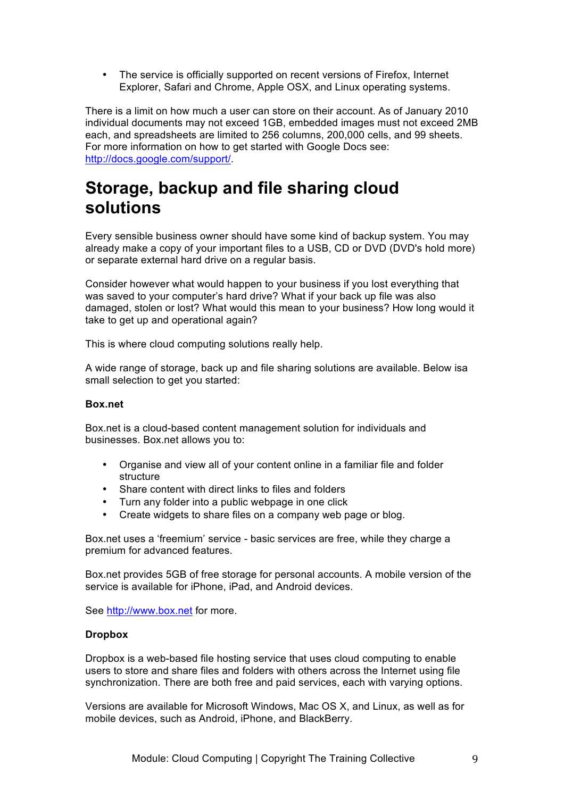• The service is officially supported on recent versions of Firefox, Internet Explorer, Safari and Chrome, Apple OSX, and Linux operating systems.

There is a limit on how much a user can store on their account. As of January 2010 individual documents may not exceed 1GB, embedded images must not exceed 2MB each, and spreadsheets are limited to 256 columns, 200,000 cells, and 99 sheets. For more information on how to get started with Google Docs see: http://docs.google.com/support/.

# **Storage, backup and file sharing cloud solutions**

Every sensible business owner should have some kind of backup system. You may already make a copy of your important files to a USB, CD or DVD (DVD's hold more) or separate external hard drive on a regular basis.

Consider however what would happen to your business if you lost everything that was saved to your computer's hard drive? What if your back up file was also damaged, stolen or lost? What would this mean to your business? How long would it take to get up and operational again?

This is where cloud computing solutions really help.

A wide range of storage, back up and file sharing solutions are available. Below isa small selection to get you started:

#### **Box.net**

Box.net is a cloud-based content management solution for individuals and businesses. Box.net allows you to:

- Organise and view all of your content online in a familiar file and folder structure
- Share content with direct links to files and folders
- Turn any folder into a public webpage in one click
- Create widgets to share files on a company web page or blog.

Box.net uses a 'freemium' service - basic services are free, while they charge a premium for advanced features.

Box.net provides 5GB of free storage for personal accounts. A mobile version of the service is available for iPhone, iPad, and Android devices.

See http://www.box.net for more.

#### **Dropbox**

Dropbox is a web-based file hosting service that uses cloud computing to enable users to store and share files and folders with others across the Internet using file synchronization. There are both free and paid services, each with varying options.

Versions are available for Microsoft Windows, Mac OS X, and Linux, as well as for mobile devices, such as Android, iPhone, and BlackBerry.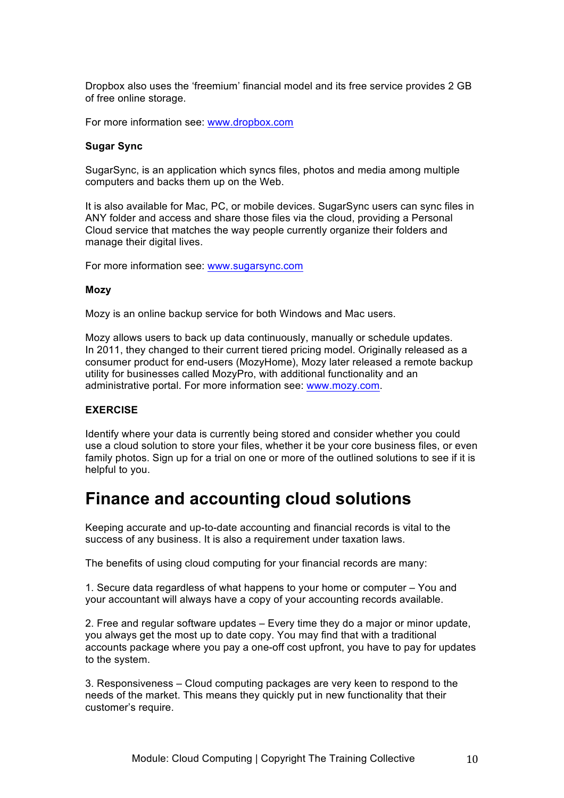Dropbox also uses the 'freemium' financial model and its free service provides 2 GB of free online storage.

For more information see: www.dropbox.com

#### **Sugar Sync**

SugarSync, is an application which syncs files, photos and media among multiple computers and backs them up on the Web.

It is also available for Mac, PC, or mobile devices. SugarSync users can sync files in ANY folder and access and share those files via the cloud, providing a Personal Cloud service that matches the way people currently organize their folders and manage their digital lives.

For more information see: www.sugarsync.com

#### **Mozy**

Mozy is an online backup service for both Windows and Mac users.

Mozy allows users to back up data continuously, manually or schedule updates. In 2011, they changed to their current tiered pricing model. Originally released as a consumer product for end-users (MozyHome), Mozy later released a remote backup utility for businesses called MozyPro, with additional functionality and an administrative portal. For more information see: www.mozy.com.

#### **EXERCISE**

Identify where your data is currently being stored and consider whether you could use a cloud solution to store your files, whether it be your core business files, or even family photos. Sign up for a trial on one or more of the outlined solutions to see if it is helpful to you.

## **Finance and accounting cloud solutions**

Keeping accurate and up-to-date accounting and financial records is vital to the success of any business. It is also a requirement under taxation laws.

The benefits of using cloud computing for your financial records are many:

1. Secure data regardless of what happens to your home or computer – You and your accountant will always have a copy of your accounting records available.

2. Free and regular software updates – Every time they do a major or minor update, you always get the most up to date copy. You may find that with a traditional accounts package where you pay a one-off cost upfront, you have to pay for updates to the system.

3. Responsiveness – Cloud computing packages are very keen to respond to the needs of the market. This means they quickly put in new functionality that their customer's require.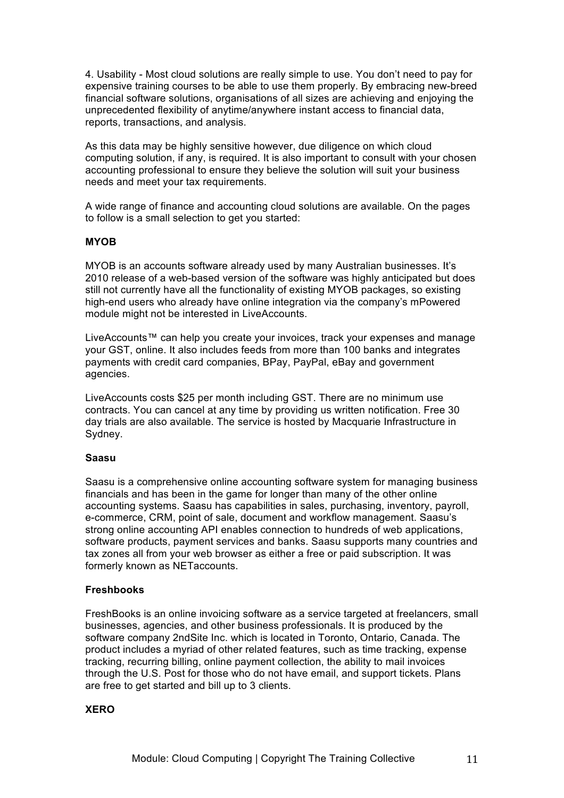4. Usability - Most cloud solutions are really simple to use. You don't need to pay for expensive training courses to be able to use them properly. By embracing new-breed financial software solutions, organisations of all sizes are achieving and enjoying the unprecedented flexibility of anytime/anywhere instant access to financial data, reports, transactions, and analysis.

As this data may be highly sensitive however, due diligence on which cloud computing solution, if any, is required. It is also important to consult with your chosen accounting professional to ensure they believe the solution will suit your business needs and meet your tax requirements.

A wide range of finance and accounting cloud solutions are available. On the pages to follow is a small selection to get you started:

#### **MYOB**

MYOB is an accounts software already used by many Australian businesses. It's 2010 release of a web-based version of the software was highly anticipated but does still not currently have all the functionality of existing MYOB packages, so existing high-end users who already have online integration via the company's mPowered module might not be interested in LiveAccounts.

LiveAccounts™ can help you create your invoices, track your expenses and manage your GST, online. It also includes feeds from more than 100 banks and integrates payments with credit card companies, BPay, PayPal, eBay and government agencies.

LiveAccounts costs \$25 per month including GST. There are no minimum use contracts. You can cancel at any time by providing us written notification. Free 30 day trials are also available. The service is hosted by Macquarie Infrastructure in Sydney.

#### **Saasu**

Saasu is a comprehensive online accounting software system for managing business financials and has been in the game for longer than many of the other online accounting systems. Saasu has capabilities in sales, purchasing, inventory, payroll, e-commerce, CRM, point of sale, document and workflow management. Saasu's strong online accounting API enables connection to hundreds of web applications, software products, payment services and banks. Saasu supports many countries and tax zones all from your web browser as either a free or paid subscription. It was formerly known as NETaccounts.

#### **Freshbooks**

FreshBooks is an online invoicing software as a service targeted at freelancers, small businesses, agencies, and other business professionals. It is produced by the software company 2ndSite Inc. which is located in Toronto, Ontario, Canada. The product includes a myriad of other related features, such as time tracking, expense tracking, recurring billing, online payment collection, the ability to mail invoices through the U.S. Post for those who do not have email, and support tickets. Plans are free to get started and bill up to 3 clients.

### **XERO**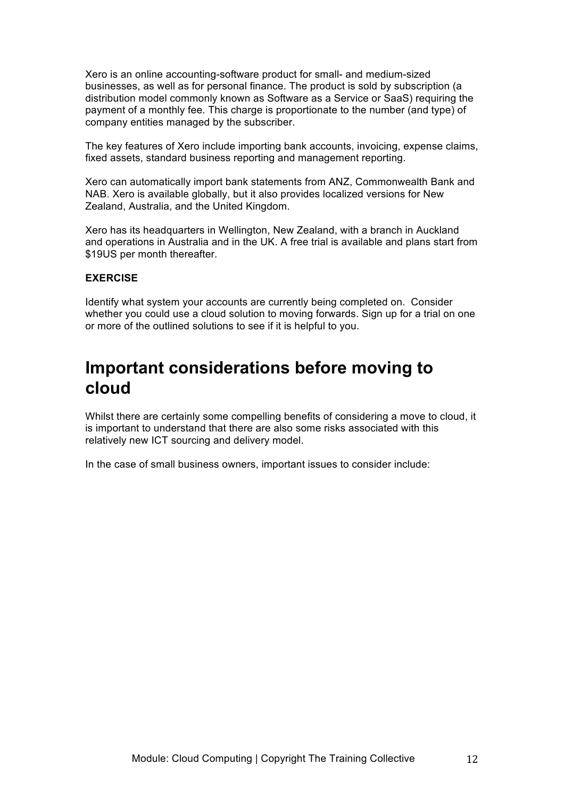Xero is an online accounting-software product for small- and medium-sized businesses, as well as for personal finance. The product is sold by subscription (a distribution model commonly known as Software as a Service or SaaS) requiring the payment of a monthly fee. This charge is proportionate to the number (and type) of company entities managed by the subscriber.

The key features of Xero include importing bank accounts, invoicing, expense claims, fixed assets, standard business reporting and management reporting.

Xero can automatically import bank statements from ANZ, Commonwealth Bank and NAB. Xero is available globally, but it also provides localized versions for New Zealand, Australia, and the United Kingdom.

Xero has its headquarters in Wellington, New Zealand, with a branch in Auckland and operations in Australia and in the UK. A free trial is available and plans start from \$19US per month thereafter.

## **EXERCISE**

Identify what system your accounts are currently being completed on. Consider whether you could use a cloud solution to moving forwards. Sign up for a trial on one or more of the outlined solutions to see if it is helpful to you.

## **Important considerations before moving to cloud**

Whilst there are certainly some compelling benefits of considering a move to cloud, it is important to understand that there are also some risks associated with this relatively new ICT sourcing and delivery model.

In the case of small business owners, important issues to consider include: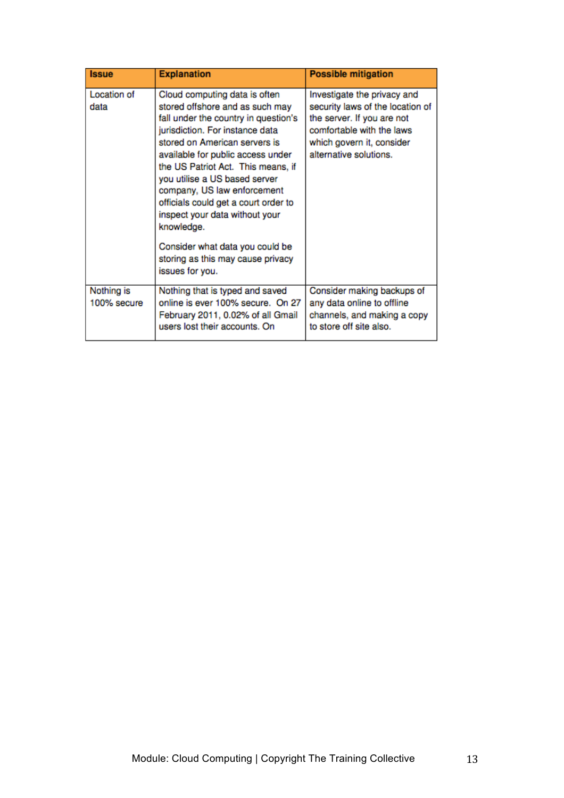| <b>Issue</b>              | <b>Explanation</b>                                                                                                                                                                                                                                                                                                                                                                                              | <b>Possible mitigation</b>                                                                                                                                                        |
|---------------------------|-----------------------------------------------------------------------------------------------------------------------------------------------------------------------------------------------------------------------------------------------------------------------------------------------------------------------------------------------------------------------------------------------------------------|-----------------------------------------------------------------------------------------------------------------------------------------------------------------------------------|
| Location of<br>data       | Cloud computing data is often<br>stored offshore and as such may<br>fall under the country in question's<br>jurisdiction. For instance data<br>stored on American servers is<br>available for public access under<br>the US Patriot Act. This means, if<br>you utilise a US based server<br>company, US law enforcement<br>officials could get a court order to<br>inspect your data without your<br>knowledge. | Investigate the privacy and<br>security laws of the location of<br>the server. If you are not<br>comfortable with the laws<br>which govern it, consider<br>alternative solutions. |
|                           | Consider what data you could be<br>storing as this may cause privacy<br>issues for you.                                                                                                                                                                                                                                                                                                                         |                                                                                                                                                                                   |
| Nothing is<br>100% secure | Nothing that is typed and saved<br>online is ever 100% secure. On 27<br>February 2011, 0.02% of all Gmail<br>users lost their accounts. On                                                                                                                                                                                                                                                                      | Consider making backups of<br>any data online to offline<br>channels, and making a copy<br>to store off site also.                                                                |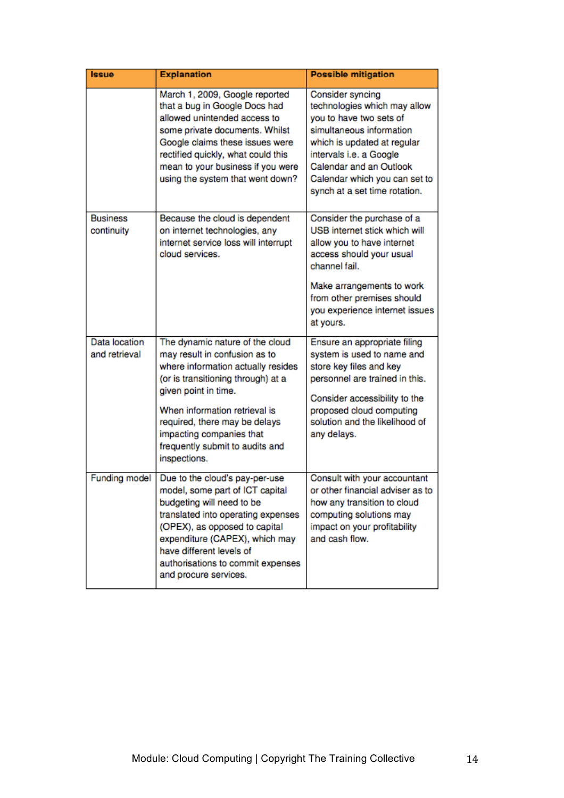| Issue                                 | <b>Explanation</b>                                                                                                                                                                                                                                                                                                    | <b>Possible mitigation</b>                                                                                                                                                                                                                                     |
|---------------------------------------|-----------------------------------------------------------------------------------------------------------------------------------------------------------------------------------------------------------------------------------------------------------------------------------------------------------------------|----------------------------------------------------------------------------------------------------------------------------------------------------------------------------------------------------------------------------------------------------------------|
|                                       | March 1, 2009, Google reported<br>that a bug in Google Docs had<br>allowed unintended access to<br>some private documents. Whilst<br>Google claims these issues were<br>rectified quickly, what could this<br>mean to your business if you were<br>using the system that went down?                                   | Consider syncing<br>technologies which may allow<br>you to have two sets of<br>simultaneous information<br>which is updated at regular<br>intervals i.e. a Google<br>Calendar and an Outlook<br>Calendar which you can set to<br>synch at a set time rotation. |
| <b>Business</b><br>continuity         | Because the cloud is dependent<br>on internet technologies, any<br>internet service loss will interrupt<br>cloud services.                                                                                                                                                                                            | Consider the purchase of a<br>USB internet stick which will<br>allow you to have internet<br>access should your usual<br>channel fail.                                                                                                                         |
|                                       |                                                                                                                                                                                                                                                                                                                       | Make arrangements to work<br>from other premises should<br>you experience internet issues<br>at yours.                                                                                                                                                         |
| <b>Data</b> location<br>and retrieval | The dynamic nature of the cloud<br>may result in confusion as to<br>where information actually resides<br>(or is transitioning through) at a<br>given point in time.<br>When information retrieval is<br>required, there may be delays<br>impacting companies that<br>frequently submit to audits and<br>inspections. | Ensure an appropriate filing<br>system is used to name and<br>store key files and key<br>personnel are trained in this.<br>Consider accessibility to the<br>proposed cloud computing<br>solution and the likelihood of<br>any delays.                          |
| Funding model                         | Due to the cloud's pay-per-use<br>model, some part of ICT capital<br>budgeting will need to be<br>translated into operating expenses<br>(OPEX), as opposed to capital<br>expenditure (CAPEX), which may<br>have different levels of<br>authorisations to commit expenses<br>and procure services.                     | Consult with your accountant<br>or other financial adviser as to<br>how any transition to cloud<br>computing solutions may<br>impact on your profitability<br>and cash flow.                                                                                   |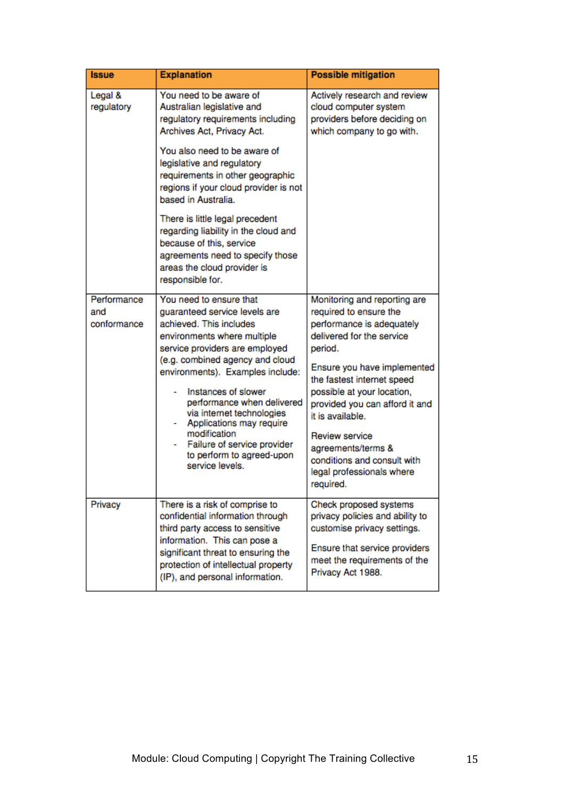| <b>Issue</b>                      | <b>Explanation</b>                                                                                                                                                                                                                                                                                                                                                                                                                       | <b>Possible mitigation</b>                                                                                                                                                                                                                                                                                                                                                                    |
|-----------------------------------|------------------------------------------------------------------------------------------------------------------------------------------------------------------------------------------------------------------------------------------------------------------------------------------------------------------------------------------------------------------------------------------------------------------------------------------|-----------------------------------------------------------------------------------------------------------------------------------------------------------------------------------------------------------------------------------------------------------------------------------------------------------------------------------------------------------------------------------------------|
| Legal &<br>regulatory             | You need to be aware of<br>Australian legislative and<br>regulatory requirements including<br>Archives Act, Privacy Act.                                                                                                                                                                                                                                                                                                                 | Actively research and review<br>cloud computer system<br>providers before deciding on<br>which company to go with.                                                                                                                                                                                                                                                                            |
|                                   | You also need to be aware of<br>legislative and regulatory<br>requirements in other geographic<br>regions if your cloud provider is not<br>based in Australia.                                                                                                                                                                                                                                                                           |                                                                                                                                                                                                                                                                                                                                                                                               |
|                                   | There is little legal precedent<br>regarding liability in the cloud and<br>because of this, service<br>agreements need to specify those<br>areas the cloud provider is<br>responsible for.                                                                                                                                                                                                                                               |                                                                                                                                                                                                                                                                                                                                                                                               |
| Performance<br>and<br>conformance | You need to ensure that<br>quaranteed service levels are<br>achieved. This includes<br>environments where multiple<br>service providers are employed<br>(e.g. combined agency and cloud<br>environments). Examples include:<br>Instances of slower<br>performance when delivered<br>via internet technologies<br>Applications may require<br>modification<br>Failure of service provider<br>to perform to agreed-upon<br>service levels. | Monitoring and reporting are<br>required to ensure the<br>performance is adequately<br>delivered for the service<br>period.<br>Ensure you have implemented<br>the fastest internet speed<br>possible at your location,<br>provided you can afford it and<br>it is available.<br>Review service<br>agreements/terms &<br>conditions and consult with<br>legal professionals where<br>required. |
| Privacy                           | There is a risk of comprise to<br>confidential information through<br>third party access to sensitive<br>information. This can pose a<br>significant threat to ensuring the<br>protection of intellectual property<br>(IP), and personal information.                                                                                                                                                                                    | Check proposed systems<br>privacy policies and ability to<br>customise privacy settings.<br>Ensure that service providers<br>meet the requirements of the<br>Privacy Act 1988.                                                                                                                                                                                                                |